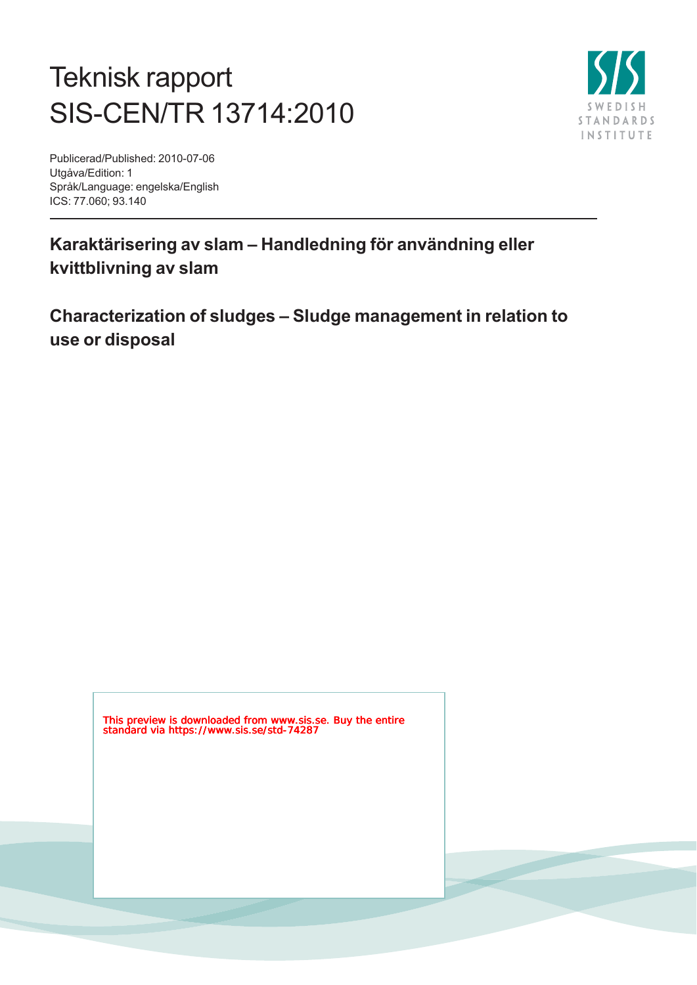# **Teknisk rapport SIS-CEN/TR 13714:2010**



Publicerad/Published: 2010-07-06 Utgåva/Edition: 1 Språk/Language: engelska/English ICS: 77.060; 93.140

Karaktärisering av slam - Handledning för användning eller kvittblivning av slam

Characterization of sludges - Sludge management in relation to use or disposal

> This preview is downloaded from www.sis.se. Buy the entire standard via https://www.sis.se/std-74287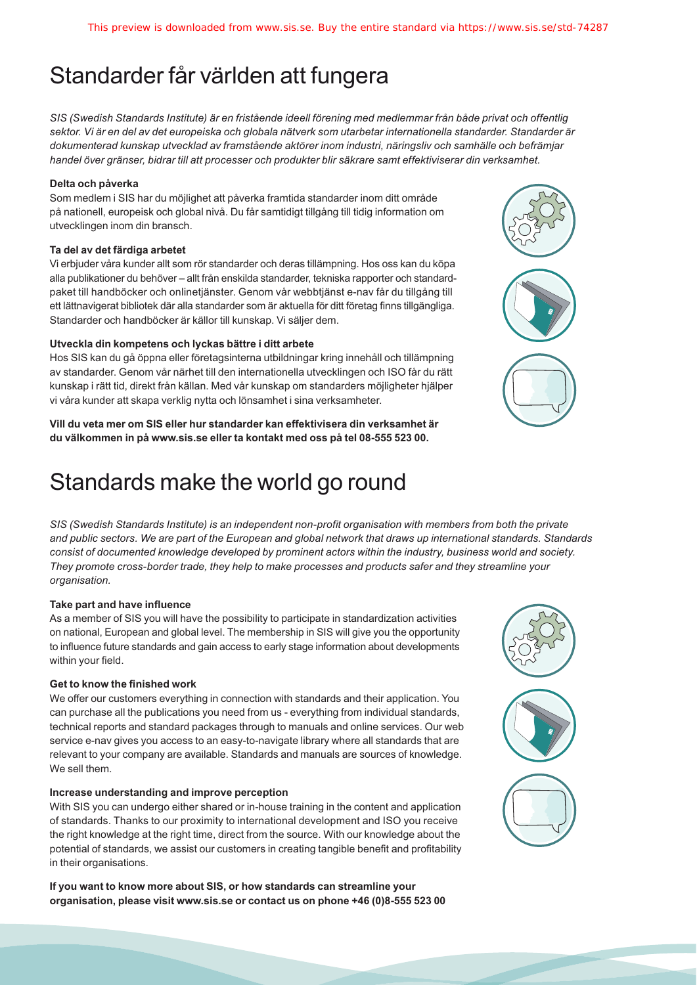## Standarder får världen att fungera

*SIS (Swedish Standards Institute) är en fristående ideell förening med medlemmar från både privat och offentlig sektor. Vi är en del av det europeiska och globala nätverk som utarbetar internationella standarder. Standarder är dokumenterad kunskap utvecklad av framstående aktörer inom industri, näringsliv och samhälle och befrämjar handel över gränser, bidrar till att processer och produkter blir säkrare samt effektiviserar din verksamhet.* 

#### **Delta och påverka**

Som medlem i SIS har du möjlighet att påverka framtida standarder inom ditt område på nationell, europeisk och global nivå. Du får samtidigt tillgång till tidig information om utvecklingen inom din bransch.

#### **Ta del av det färdiga arbetet**

Vi erbjuder våra kunder allt som rör standarder och deras tillämpning. Hos oss kan du köpa alla publikationer du behöver – allt från enskilda standarder, tekniska rapporter och standardpaket till handböcker och onlinetjänster. Genom vår webbtjänst e-nav får du tillgång till ett lättnavigerat bibliotek där alla standarder som är aktuella för ditt företag finns tillgängliga. Standarder och handböcker är källor till kunskap. Vi säljer dem.

#### **Utveckla din kompetens och lyckas bättre i ditt arbete**

Hos SIS kan du gå öppna eller företagsinterna utbildningar kring innehåll och tillämpning av standarder. Genom vår närhet till den internationella utvecklingen och ISO får du rätt kunskap i rätt tid, direkt från källan. Med vår kunskap om standarders möjligheter hjälper vi våra kunder att skapa verklig nytta och lönsamhet i sina verksamheter.

**Vill du veta mer om SIS eller hur standarder kan effektivisera din verksamhet är du välkommen in på www.sis.se eller ta kontakt med oss på tel 08-555 523 00.**

## Standards make the world go round

*SIS (Swedish Standards Institute) is an independent non-profit organisation with members from both the private and public sectors. We are part of the European and global network that draws up international standards. Standards consist of documented knowledge developed by prominent actors within the industry, business world and society. They promote cross-border trade, they help to make processes and products safer and they streamline your organisation.*

#### Take part and have influence

As a member of SIS you will have the possibility to participate in standardization activities on national, European and global level. The membership in SIS will give you the opportunity to influence future standards and gain access to early stage information about developments within your field.

#### **Get to know the finished work**

We offer our customers everything in connection with standards and their application. You can purchase all the publications you need from us - everything from individual standards, technical reports and standard packages through to manuals and online services. Our web service e-nav gives you access to an easy-to-navigate library where all standards that are relevant to your company are available. Standards and manuals are sources of knowledge. We sell them.

#### **Increase understanding and improve perception**

With SIS you can undergo either shared or in-house training in the content and application of standards. Thanks to our proximity to international development and ISO you receive the right knowledge at the right time, direct from the source. With our knowledge about the potential of standards, we assist our customers in creating tangible benefit and profitability in their organisations.

**If you want to know more about SIS, or how standards can streamline your organisation, please visit www.sis.se or contact us on phone +46 (0)8-555 523 00**



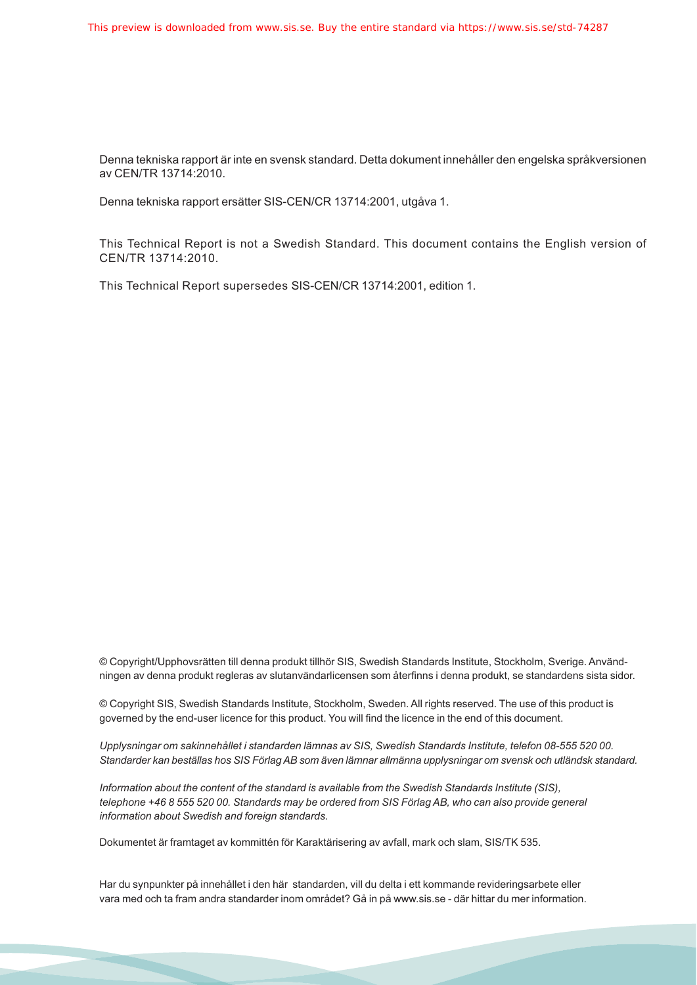Denna tekniska rapport är inte en svensk standard. Detta dokument innehåller den engelska språkversionen av CEN/TR 13714:2010.

Denna tekniska rapport ersätter SIS-CEN/CR 13714:2001, utgåva 1.

This Technical Report is not a Swedish Standard. This document contains the English version of CEN/TR 13714:2010.

This Technical Report supersedes SIS-CEN/CR 13714:2001, edition 1.

© Copyright/Upphovsrätten till denna produkt tillhör SIS, Swedish Standards Institute, Stockholm, Sverige. Använd ningen av denna produkt regleras av slutanvändarlicensen som återfinns i denna produkt, se standardens sista sidor.

© Copyright SIS, Swedish Standards Institute, Stockholm, Sweden. All rights reserved. The use of this product is governed by the end-user licence for this product. You will find the licence in the end of this document.

*Upplysningar om sakinnehållet i standarden lämnas av SIS, Swedish Standards Institute, telefon 08-555 520 00. Standarder kan beställas hos SIS Förlag AB som även lämnar allmänna upplysningar om svensk och utländsk standard.*

*Information about the content of the standard is available from the Swedish Standards Institute (SIS), telephone +46 8 555 520 00. Standards may be ordered from SIS Förlag AB, who can also provide general information about Swedish and foreign standards.*

Dokumentet är framtaget av kommittén för Karaktärisering av avfall, mark och slam, SIS/TK 535.

Har du synpunkter på innehållet i den här standarden, vill du delta i ett kommande revideringsarbete eller vara med och ta fram andra standarder inom området? Gå in på www.sis.se - där hittar du mer information.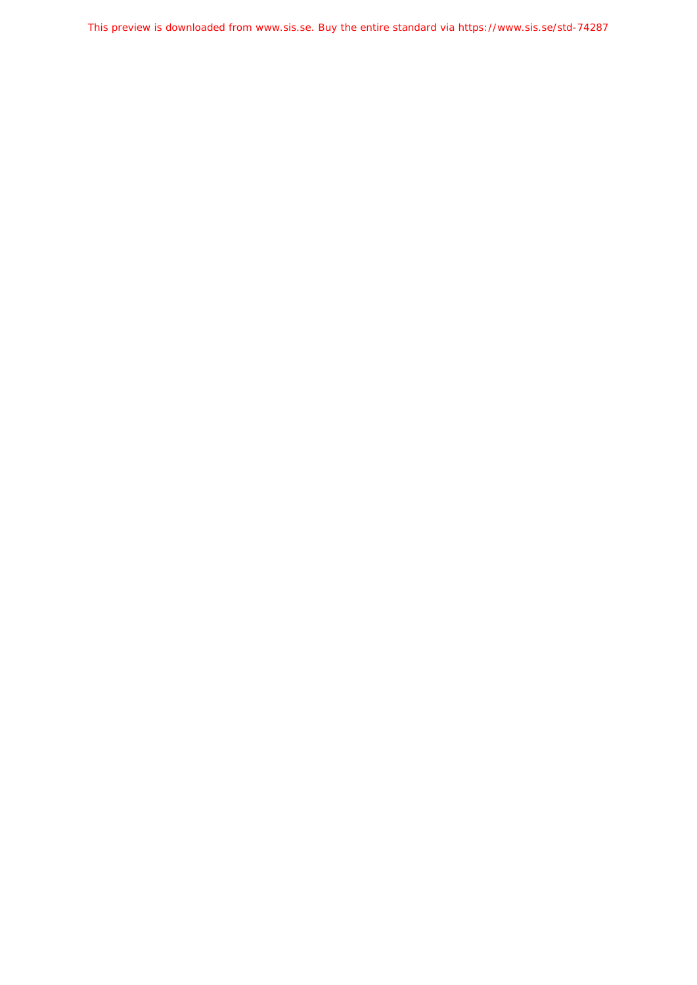This preview is downloaded from www.sis.se. Buy the entire standard via https://www.sis.se/std-74287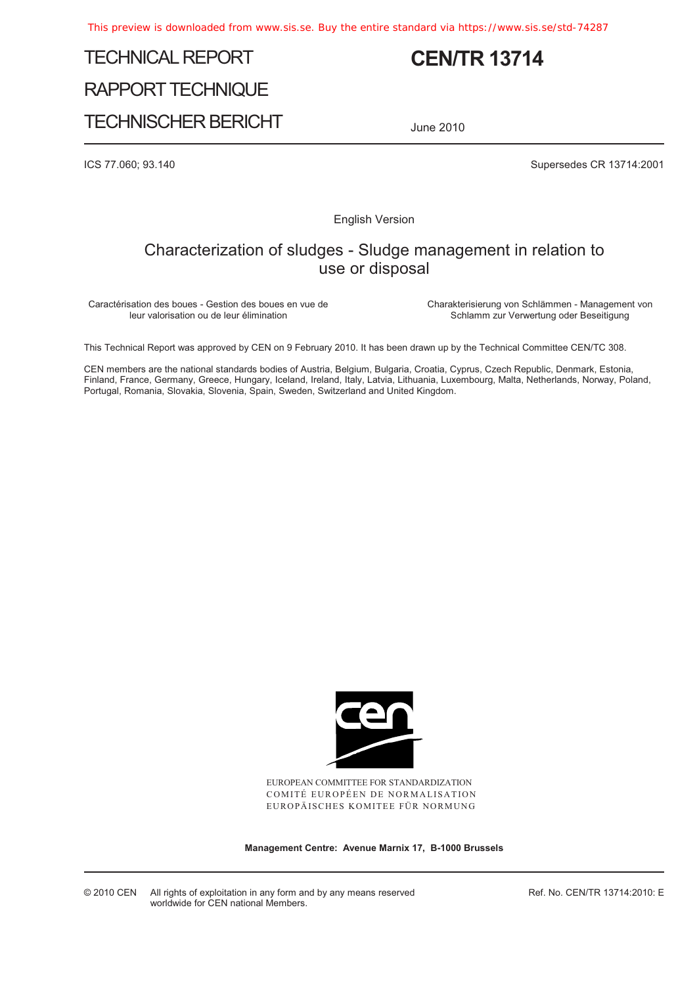## TECHNICAL REPORT RAPPORT TECHNIQUE

TECHNISCHER BERICHT

## **CEN/TR 13714**

June 2010

ICS 77.060; 93.140 Supersedes CR 13714:2001

English Version

## Characterization of sludges - Sludge management in relation to use or disposal

Caractérisation des boues - Gestion des boues en vue de leur valorisation ou de leur élimination

 Charakterisierung von Schlämmen - Management von Schlamm zur Verwertung oder Beseitigung

This Technical Report was approved by CEN on 9 February 2010. It has been drawn up by the Technical Committee CEN/TC 308.

CEN members are the national standards bodies of Austria, Belgium, Bulgaria, Croatia, Cyprus, Czech Republic, Denmark, Estonia, Finland, France, Germany, Greece, Hungary, Iceland, Ireland, Italy, Latvia, Lithuania, Luxembourg, Malta, Netherlands, Norway, Poland, Portugal, Romania, Slovakia, Slovenia, Spain, Sweden, Switzerland and United Kingdom.



EUROPEAN COMMITTEE FOR STANDARDIZATION COMITÉ EUROPÉEN DE NORMALISATION EUROPÄISCHES KOMITEE FÜR NORMUNG

**Management Centre: Avenue Marnix 17, B-1000 Brussels** 

© 2010 CEN All rights of exploitation in any form and by any means reserved worldwide for CEN national Members.

Ref. No. CEN/TR 13714:2010: E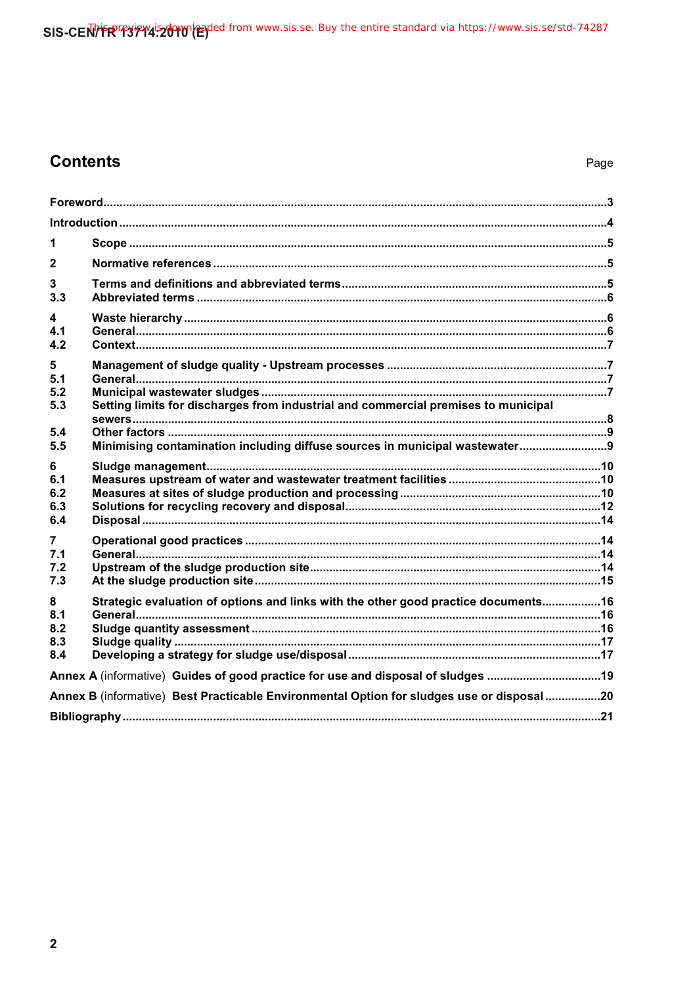SIS-CENTRIP 13714:2010 (E) ded from www.sis.se. Buy the entire standard via https://www.sis.se/std-74287

## **Contents**

| 1                                                                                          |                                                                                    |  |  |
|--------------------------------------------------------------------------------------------|------------------------------------------------------------------------------------|--|--|
| $\mathbf{2}$                                                                               |                                                                                    |  |  |
| 3<br>3.3                                                                                   |                                                                                    |  |  |
| 4<br>4.1<br>4.2                                                                            |                                                                                    |  |  |
| 5<br>5.1                                                                                   |                                                                                    |  |  |
| 5.2<br>5.3                                                                                 | Setting limits for discharges from industrial and commercial premises to municipal |  |  |
| 5.4<br>5.5                                                                                 | Minimising contamination including diffuse sources in municipal wastewater9        |  |  |
| 6<br>6.1<br>6.2<br>6.3<br>6.4                                                              |                                                                                    |  |  |
| 7<br>7.1<br>7.2<br>7.3                                                                     |                                                                                    |  |  |
| 8<br>8.1<br>8.2<br>8.3<br>8.4                                                              | Strategic evaluation of options and links with the other good practice documents16 |  |  |
| Annex A (informative) Guides of good practice for use and disposal of sludges 19           |                                                                                    |  |  |
| Annex B (informative) Best Practicable Environmental Option for sludges use or disposal 20 |                                                                                    |  |  |
|                                                                                            |                                                                                    |  |  |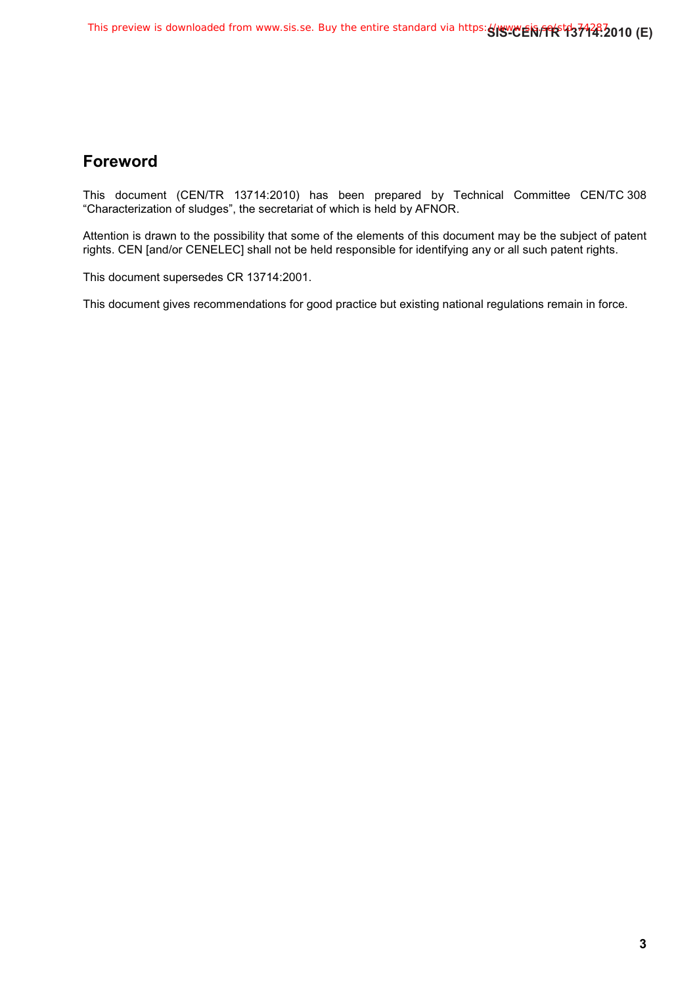## **Foreword**

This document (CEN/TR 13714:2010) has been prepared by Technical Committee CEN/TC 308 "Characterization of sludges", the secretariat of which is held by AFNOR.

Attention is drawn to the possibility that some of the elements of this document may be the subject of patent rights. CEN [and/or CENELEC] shall not be held responsible for identifying any or all such patent rights.

This document supersedes CR 13714:2001.

This document gives recommendations for good practice but existing national regulations remain in force.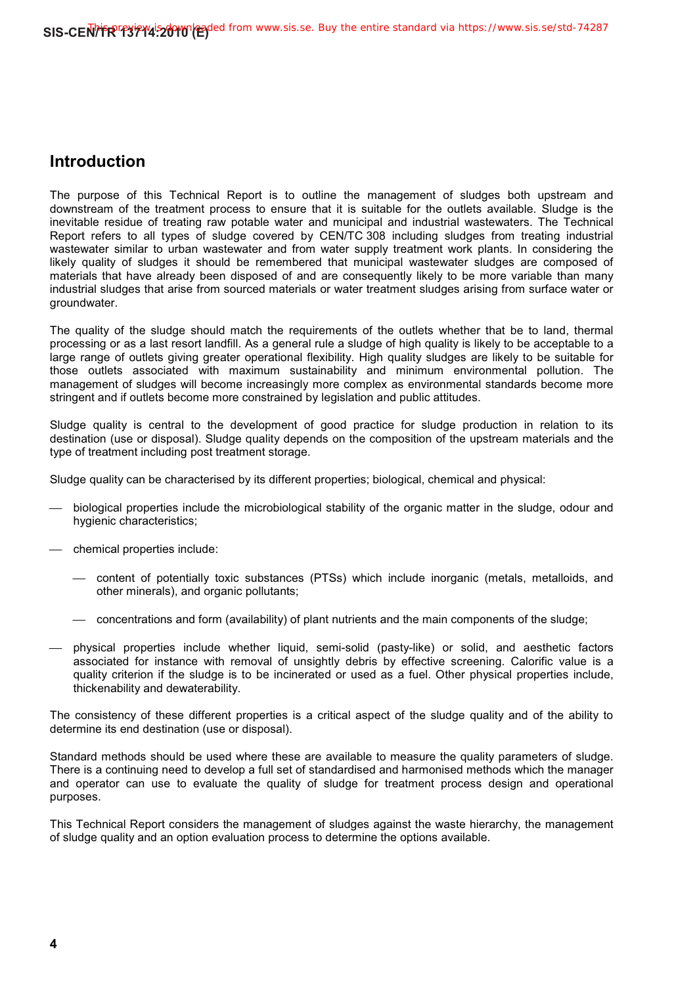## **Introduction**

The purpose of this Technical Report is to outline the management of sludges both upstream and downstream of the treatment process to ensure that it is suitable for the outlets available. Sludge is the inevitable residue of treating raw potable water and municipal and industrial wastewaters. The Technical Report refers to all types of sludge covered by CEN/TC 308 including sludges from treating industrial wastewater similar to urban wastewater and from water supply treatment work plants. In considering the likely quality of sludges it should be remembered that municipal wastewater sludges are composed of materials that have already been disposed of and are consequently likely to be more variable than many industrial sludges that arise from sourced materials or water treatment sludges arising from surface water or groundwater.

The quality of the sludge should match the requirements of the outlets whether that be to land, thermal processing or as a last resort landfill. As a general rule a sludge of high quality is likely to be acceptable to a large range of outlets giving greater operational flexibility. High quality sludges are likely to be suitable for those outlets associated with maximum sustainability and minimum environmental pollution. The management of sludges will become increasingly more complex as environmental standards become more stringent and if outlets become more constrained by legislation and public attitudes.

Sludge quality is central to the development of good practice for sludge production in relation to its destination (use or disposal). Sludge quality depends on the composition of the upstream materials and the type of treatment including post treatment storage.

Sludge quality can be characterised by its different properties; biological, chemical and physical:

- ⎯ biological properties include the microbiological stability of the organic matter in the sludge, odour and hygienic characteristics;
- chemical properties include:
	- ⎯ content of potentially toxic substances (PTSs) which include inorganic (metals, metalloids, and other minerals), and organic pollutants;
	- concentrations and form (availability) of plant nutrients and the main components of the sludge;
- ⎯ physical properties include whether liquid, semi-solid (pasty-like) or solid, and aesthetic factors associated for instance with removal of unsightly debris by effective screening. Calorific value is a quality criterion if the sludge is to be incinerated or used as a fuel. Other physical properties include, thickenability and dewaterability.

The consistency of these different properties is a critical aspect of the sludge quality and of the ability to determine its end destination (use or disposal).

Standard methods should be used where these are available to measure the quality parameters of sludge. There is a continuing need to develop a full set of standardised and harmonised methods which the manager and operator can use to evaluate the quality of sludge for treatment process design and operational purposes.

This Technical Report considers the management of sludges against the waste hierarchy, the management of sludge quality and an option evaluation process to determine the options available.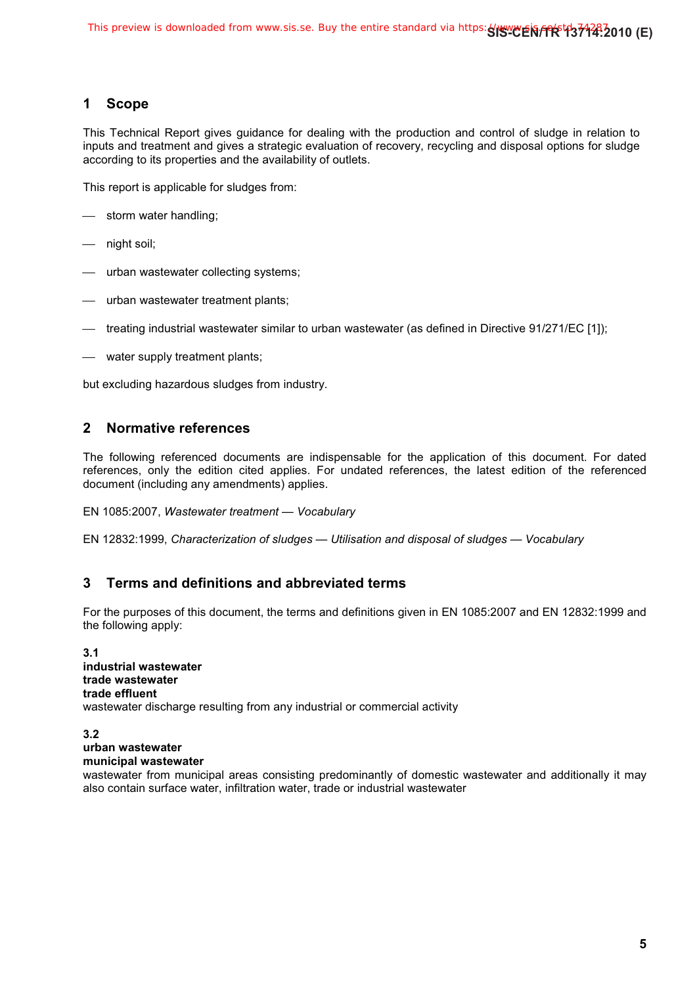## **1 Scope**

This Technical Report gives guidance for dealing with the production and control of sludge in relation to inputs and treatment and gives a strategic evaluation of recovery, recycling and disposal options for sludge according to its properties and the availability of outlets.

This report is applicable for sludges from:

- storm water handling;
- $-$  night soil:
- urban wastewater collecting systems;
- urban wastewater treatment plants;
- treating industrial wastewater similar to urban wastewater (as defined in Directive 91/271/EC [1]);
- water supply treatment plants;

but excluding hazardous sludges from industry.

## **2 Normative references**

The following referenced documents are indispensable for the application of this document. For dated references, only the edition cited applies. For undated references, the latest edition of the referenced document (including any amendments) applies.

EN 1085:2007, *Wastewater treatment — Vocabulary*

EN 12832:1999, *Characterization of sludges — Utilisation and disposal of sludges — Vocabulary*

## **3 Terms and definitions and abbreviated terms**

For the purposes of this document, the terms and definitions given in EN 1085:2007 and EN 12832:1999 and the following apply:

**3.1 industrial wastewater trade wastewater trade effluent**  wastewater discharge resulting from any industrial or commercial activity

#### **3.2 urban wastewater municipal wastewater**

wastewater from municipal areas consisting predominantly of domestic wastewater and additionally it may also contain surface water, infiltration water, trade or industrial wastewater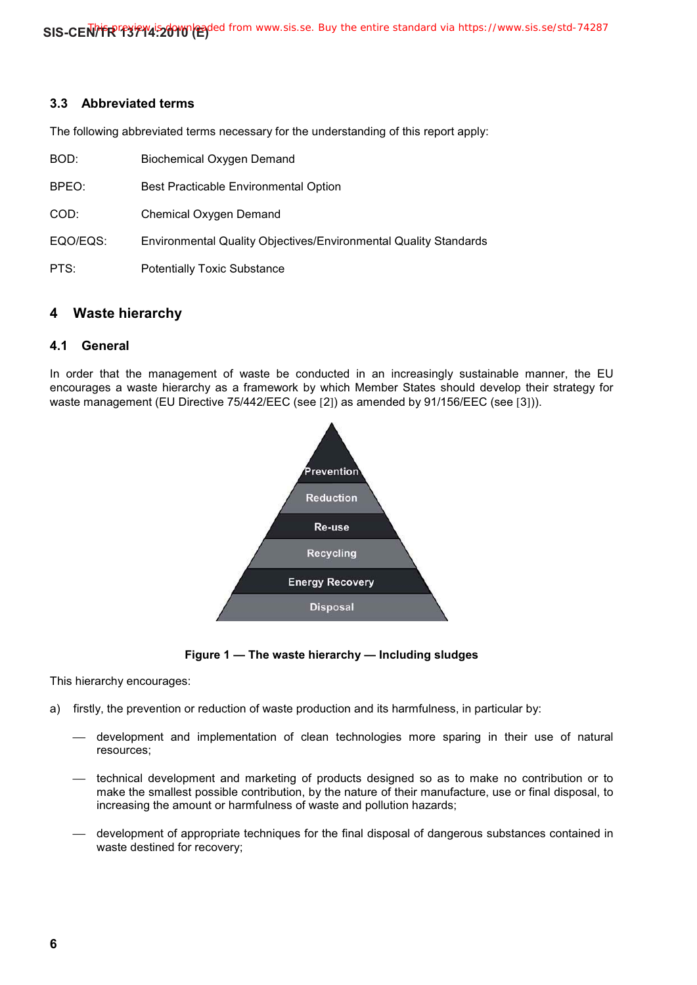### **3.3 Abbreviated terms**

The following abbreviated terms necessary for the understanding of this report apply:

| BOD:  | Biochemical Oxygen Demand                    |
|-------|----------------------------------------------|
| BPEO: | <b>Best Practicable Environmental Option</b> |
| COD:  | Chemical Oxygen Demand                       |

EQO/EQS: Environmental Quality Objectives/Environmental Quality Standards

PTS: Potentially Toxic Substance

## **4 Waste hierarchy**

### **4.1 General**

In order that the management of waste be conducted in an increasingly sustainable manner, the EU encourages a waste hierarchy as a framework by which Member States should develop their strategy for waste management (EU Directive 75/442/EEC (see [2]) as amended by 91/156/EEC (see [3])).



**Figure 1 — The waste hierarchy — Including sludges** 

This hierarchy encourages:

- a) firstly, the prevention or reduction of waste production and its harmfulness, in particular by:
	- development and implementation of clean technologies more sparing in their use of natural resources;
	- technical development and marketing of products designed so as to make no contribution or to make the smallest possible contribution, by the nature of their manufacture, use or final disposal, to increasing the amount or harmfulness of waste and pollution hazards;
	- development of appropriate techniques for the final disposal of dangerous substances contained in waste destined for recovery;